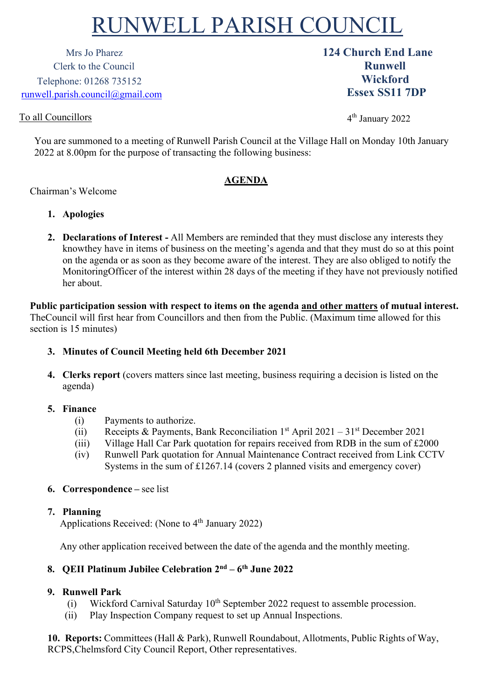# RUNWELL PARISH COUNCIL

Mrs Jo Pharez **124 Church End Lane** Clerk to the Council **Runwell** Telephone: 01268 735152 [runwell.parish.council@gmail.com](mailto:runwell.parish.council@gmail.com)

# To all Councillors

4th January 2022

**Wickford Essex SS11 7DP**

You are summoned to a meeting of Runwell Parish Council at the Village Hall on Monday 10th January 2022 at 8.00pm for the purpose of transacting the following business:

# **AGENDA**

## Chairman's Welcome

- **1. Apologies**
- **2. Declarations of Interest -** All Members are reminded that they must disclose any interests they knowthey have in items of business on the meeting's agenda and that they must do so at this point on the agenda or as soon as they become aware of the interest. They are also obliged to notify the MonitoringOfficer of the interest within 28 days of the meeting if they have not previously notified her about.

**Public participation session with respect to items on the agenda and other matters of mutual interest.**  TheCouncil will first hear from Councillors and then from the Public. (Maximum time allowed for this section is 15 minutes)

### **3. Minutes of Council Meeting held 6th December 2021**

**4. Clerks report** (covers matters since last meeting, business requiring a decision is listed on the agenda)

### **5. Finance**

- (i) Payments to authorize.
- (ii) Receipts & Payments, Bank Reconciliation  $1<sup>st</sup>$  April 2021 31<sup>st</sup> December 2021
- (iii) Village Hall Car Park quotation for repairs received from RDB in the sum of £2000
- (iv) Runwell Park quotation for Annual Maintenance Contract received from Link CCTV Systems in the sum of £1267.14 (covers 2 planned visits and emergency cover)

### **6. Correspondence –** see list

#### **7. Planning**

Applications Received: (None to  $4<sup>th</sup>$  January 2022)

Any other application received between the date of the agenda and the monthly meeting.

## **8. QEII Platinum Jubilee Celebration 2nd – 6th June 2022**

### **9. Runwell Park**

- (i) Wickford Carnival Saturday  $10^{th}$  September 2022 request to assemble procession.
- (ii) Play Inspection Company request to set up Annual Inspections.

**10. Reports:** Committees (Hall & Park), Runwell Roundabout, Allotments, Public Rights of Way, RCPS,Chelmsford City Council Report, Other representatives.